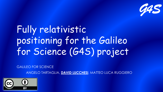

# Fully relativistic positioning for the Galileo for Science (G4S) project

GALILEO FOR SCIENCE

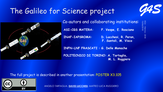## The Galileo for Science project



15/06/2018 EGU - Vienna -<br>15/06/2018 Vienna -

2018



Co-autors and collaborating institutions:

**ASI-CGS MATERA: F. Vespe, E. Rosciano**

**INAF-IAPSROMA: D. Lucchesi, R. Peron,** 

**F. Santoli, M. Visco**

**INFN-LNF FRASCATI : G. Delle Monache**

**POLITECNICO DI TORINO: A. Tartaglia, M. L. Ruggiero** 

The full project is described in another presentation: POSTER X3.105

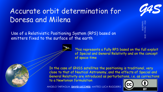## Accurate orbit determination for Doresa and Milena

Use of a Relativistic Positioning System (RPS) based on emitters fixed to the surface of the earth

> This represents a Fully RPS based on the full exploit of Special and General Relativity and on the concept of space-time



In the case of GNSS satellites the positioning is traditional, very close to that of Nautical Astronomy, and the effects of Special and General Relativity are introduced as perturbations, i.e. as corrections to a Newtonian formulation

ANGELO TARTAGLIA, **DAVID LUCCHESI**, MATTEO LUCA RUGGIERO





15/06/2018 EGU - Vienna - 2018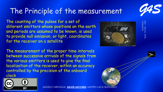## The Principle of the measurement

The counting of the pulses for a set of different emitters whose positions on the earth and periods are assumed to be known, is used to provide null emission, or light, coordinates for the receiver on a satellite

The measurement of the proper time intervals between successive arrivals of the signals from the various emitters is used to give the final localization of the receiver, within an accuracy controlled by the precision of the onboard clock



ANGELO TARTAGLIA, **DAVID LUCCHESI**, MATTEO LUCA RUGGIERO





15/06/2018

EGU -

Vienna -

2018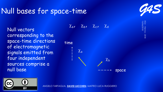#### Null bases for space-time

Null vectors corresponding to the space-time directions of electromagnetic signals emitted from four independent sources comprise a null base

$$
\chi_{aI} = \chi_{bI} = \chi_{cI} = \chi_{d}
$$



*G4S*

15/06/2018 EGU - Vienna -<br>15/06/2018 Vienna - 2018

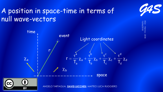#### A position in space-time in terms of null wave-vectors



*G4S*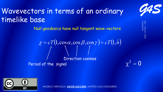## Wavevectors in terms of an ordinary timelike base

Null geodesics have null tangent wave-vectors

$$
\chi = cT(1, \cos \alpha, \cos \beta, \cos \gamma) = cT(1, \hat{n})
$$
  
\nDirection cosines  
\nPeriod of the signal



ANGELO TARTAGLIA, **DAVID LUCCHESI**, MATTEO LUCA RUGGIERO



15/06/2018 EGU - Vienna - 2018

 $\gamma^2=0$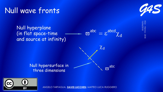# Null wave fronts

Null hyperplane (in flat space-time and source at infinity)

$$
-\varpi^{abc}=\epsilon^{abcd}\chi_d
$$

15/06/2018 EGU - Vienna - *G4S*

2018

 $\chi_{\mathsf{d}}$  $\sigma^{\rm abc}$ Null hypersurface in three dimensions

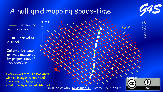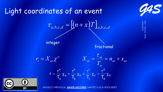

15/06/2018 EGU - Vienna -<br>15/06/2018 Vienna -

2018

#### Light coordinates of an event



fractional



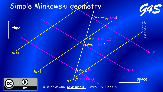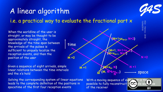## A linear algorithm i.e. a practical way to evaluate the fractional part x

When the worldline of the user is straight, or may be thought to be approximately straight, the knowledge of the time span between the arrivals of the pulses is sufficient to uniquely localize the reception events, and then the position of the user

Given a sequence of eight arrivals, simple linear relations between the time intervals and the x's hold

Solving the corresponding system of linear equations leads to the complete definition of the positions in spacetime of the first four reception events



With a moving sequence of events, possible to fully reconstruct the whole world ine of the receiver



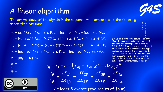## A linear algorithm

The arrival times of the signals in the sequence will correspond to the following space-time positions:

 $r_1 = (n_1 T)^a \mathcal{X}_a + [(n_1 + x_1)T]^b \mathcal{X}_b + [(n_1 + x_1)T]^c \mathcal{X}_c + [(n_1 + x_1)T]^d \mathcal{X}_d$  $r_2 = [(n_2 + x_2)T]^a \mathcal{X}_a + (n_2 T)^b \mathcal{X}_b + [(n_2 + x_2)T]^c \mathcal{X}_c + [(n_2 + x_2)T]^d \mathcal{X}_d$  $r_3 = [(n_3 + x_3)T]^a \mathcal{X}_a + [(n_3 + x_3)T]^b \mathcal{X}_b + (n_3T)^c \mathcal{X}_c + [(n_3 + x_3)T]^d \mathcal{X}_d$  $r_4 = [(n_4 + x_4)T]^a \mathcal{X}_a + [(n_4 + x_4)T]^b \mathcal{X}_b + [(n_4 + x_4)T]^c \mathcal{X}_c + (n_4T)^d \mathcal{X}_d$  $r_5 = [(n_1 + 1)T]^a \mathcal{X}_a + \cdots$ 



15/06/2018 EGU - Vienna<br>15/06/2018

Vienna -

2018 Let us next consider a sequence of arrival times from respectively sources a,b,c,d and label the corresponding events as 1,2,3,4,5,6,7,8. We choose the first event as coinciding with the crossing of a hypersurface belonging to the a family, so that xa1 = 0 . The second event will be at the next crossing of a b-hypersuface, the third will be at the encounter with the subsequent chypersurface, and so on

$$
r_6 = \cdots
$$

$$
r_7 = \cdots
$$

 $r_8 = \cdots$ 



$$
r_{ij} = r_j - r_i = \left(X_{aj} - X_{ai}\right)\chi^a = \Delta X_{ai}\chi^a
$$

$$
\frac{\tau_{ij}}{\tau_{jk}} = \frac{\Delta X_{1ij}}{\Delta X_{1jk}} = \frac{\Delta X_{2ij}}{\Delta X_{2jk}} = \frac{\Delta X_{3ij}}{\Delta X_{3jk}} = \frac{\Delta X_{4ij}}{\Delta X_{4jk}}
$$

At least 8 events (two series of four)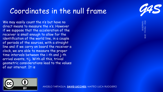

Coordinates in the null frame

We may easily count the n's but have no direct means to measure the x's. However if we suppose that the acceleration of the receiver is small enough to allow for the identification of the world line, in a couple of periods of the sources, with a straight line and if we carry on board the receiver a clock, we are able to measure the proper time intervals between the i-th and j-th arrival events, tij. With all this, trivial geometric considerations lead to the values of our interest. It is

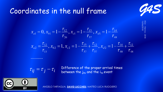#### Coordinates in the null frame



15/06/2018 EGU - Vienna -<br>I*5/06/2*018 Vienna - 2018



 $\tau_{ij} = \tau_j - \tau_i$ 

Difference of the proper arrival times between the j<sub>th</sub> and the i<sub>th</sub> event

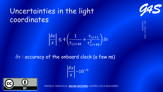## Uncertainties in the light coordinates

$$
\left|\frac{\delta x}{x}\right| \le 4\left(\frac{1}{\tau_{i,i+4k}} + \frac{\tau_{i,i+1}}{\tau_{i,i+4k}^2}\right)\delta\tau
$$

 $\delta\tau$ : accuracy of the onboard clock (a few ns)

$$
\left|\frac{\delta x}{x}\right| \sim 10^{-9}
$$



ANGELO TARTAGLIA, **DAVID LUCCHESI**, MATTEO LUCA RUGGIERO

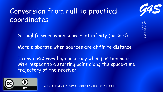## Conversion from null to practical coordinates

Straighforward when sources at infinity (pulsars)

More elaborate when sources are at finite distance

In any case: very high accuracy when positioning is with respect to a starting point along the space-time trajectory of the receiver



ANGELO TARTAGLIA, **DAVID LUCCHESI**, MATTEO LUCA RUGGIERO

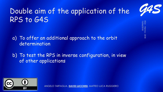## Double aim of the application of the RPS to G4S

a) To offer an additional approach to the orbit determination

b) To test the RPS in inverse configuration, in view of other applications